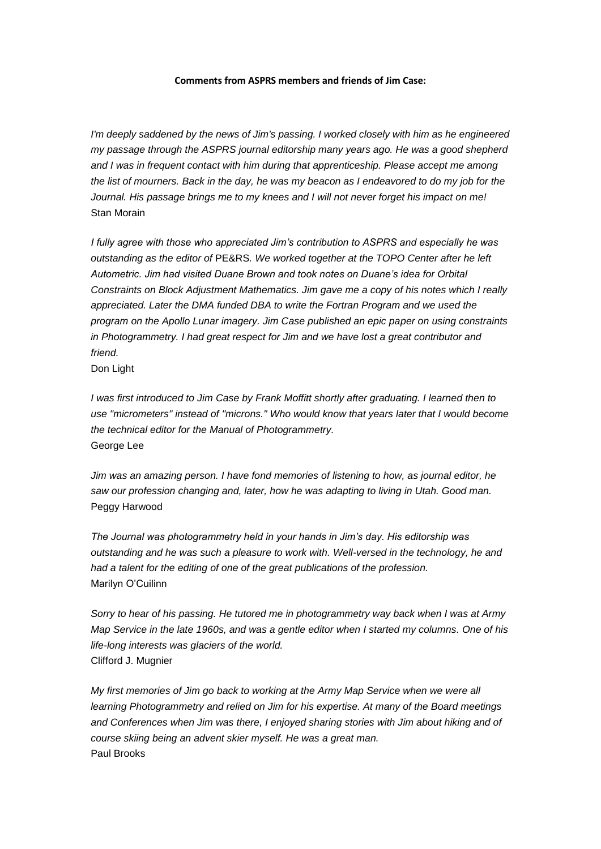## **Comments from ASPRS members and friends of Jim Case:**

*I'm deeply saddened by the news of Jim's passing. I worked closely with him as he engineered my passage through the ASPRS journal editorship many years ago. He was a good shepherd and I was in frequent contact with him during that apprenticeship. Please accept me among the list of mourners. Back in the day, he was my beacon as I endeavored to do my job for the Journal. His passage brings me to my knees and I will not never forget his impact on me!* Stan Morain

*I fully agree with those who appreciated Jim's contribution to ASPRS and especially he was outstanding as the editor of* PE&RS*. We worked together at the TOPO Center after he left Autometric. Jim had visited Duane Brown and took notes on Duane's idea for Orbital Constraints on Block Adjustment Mathematics. Jim gave me a copy of his notes which I really appreciated. Later the DMA funded DBA to write the Fortran Program and we used the program on the Apollo Lunar imagery. Jim Case published an epic paper on using constraints in Photogrammetry. I had great respect for Jim and we have lost a great contributor and friend.*

Don Light

*I was first introduced to Jim Case by Frank Moffitt shortly after graduating. I learned then to use "micrometers" instead of "microns." Who would know that years later that I would become the technical editor for the Manual of Photogrammetry.* George Lee

*Jim was an amazing person. I have fond memories of listening to how, as journal editor, he saw our profession changing and, later, how he was adapting to living in Utah. Good man.* Peggy Harwood

*The Journal was photogrammetry held in your hands in Jim's day. His editorship was outstanding and he was such a pleasure to work with. Well-versed in the technology, he and had a talent for the editing of one of the great publications of the profession.* Marilyn O'Cuilinn

*Sorry to hear of his passing. He tutored me in photogrammetry way back when I was at Army Map Service in the late 1960s, and was a gentle editor when I started my columns. One of his life-long interests was glaciers of the world.* Clifford J. Mugnier

*My first memories of Jim go back to working at the Army Map Service when we were all learning Photogrammetry and relied on Jim for his expertise. At many of the Board meetings and Conferences when Jim was there, I enjoyed sharing stories with Jim about hiking and of course skiing being an advent skier myself. He was a great man.* Paul Brooks